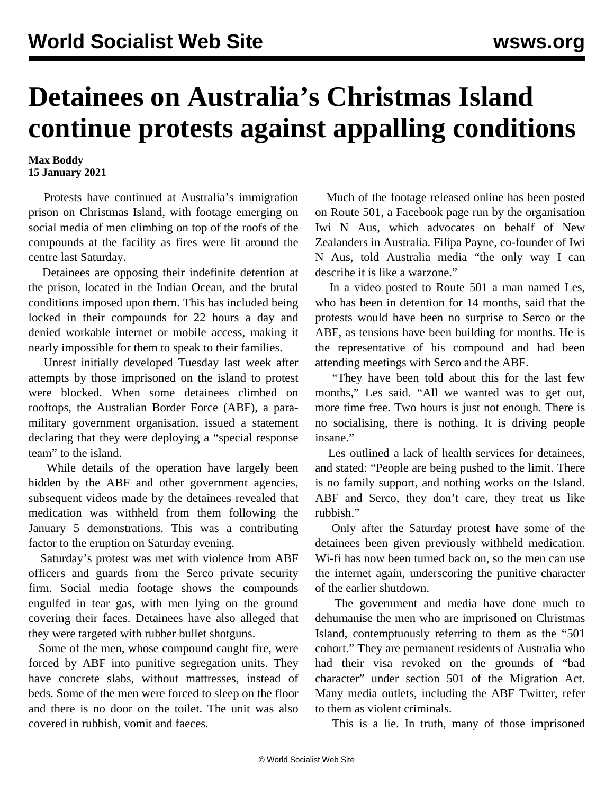## **Detainees on Australia's Christmas Island continue protests against appalling conditions**

## **Max Boddy 15 January 2021**

 Protests have continued at Australia's immigration prison on Christmas Island, with footage emerging on social media of men climbing on top of the roofs of the compounds at the facility as fires were lit around the centre last Saturday.

 Detainees are opposing their indefinite detention at the prison, located in the Indian Ocean, and the brutal conditions imposed upon them. This has included being locked in their compounds for 22 hours a day and denied workable internet or mobile access, making it nearly impossible for them to speak to their families.

 Unrest initially developed [Tuesday last week](/en/articles/2021/01/09/refu-j09.html) after attempts by those imprisoned on the island to protest were blocked. When some detainees climbed on rooftops, the Australian Border Force (ABF), a paramilitary government organisation, issued a statement declaring that they were deploying a "special response team" to the island.

 While details of the operation have largely been hidden by the ABF and other government agencies, subsequent videos made by the detainees revealed that medication was withheld from them following the January 5 demonstrations. This was a contributing factor to the eruption on Saturday evening.

 Saturday's protest was met with violence from ABF officers and guards from the Serco private security firm. Social media footage shows the compounds engulfed in tear gas, with men lying on the ground covering their faces. Detainees have also alleged that they were targeted with rubber bullet shotguns.

 Some of the men, whose compound caught fire, were forced by ABF into punitive segregation units. They have concrete slabs, without mattresses, instead of beds. Some of the men were forced to sleep on the floor and there is no door on the toilet. The unit was also covered in rubbish, vomit and faeces.

 Much of the footage released online has been posted on Route 501, a Facebook page run by the organisation Iwi N Aus, which advocates on behalf of New Zealanders in Australia. Filipa Payne, co-founder of Iwi N Aus, told Australia media "the only way I can describe it is like a warzone."

 In a video posted to Route 501 a man named Les, who has been in detention for 14 months, said that the protests would have been no surprise to Serco or the ABF, as tensions have been building for months. He is the representative of his compound and had been attending meetings with Serco and the ABF.

 "They have been told about this for the last few months," Les said. "All we wanted was to get out, more time free. Two hours is just not enough. There is no socialising, there is nothing. It is driving people insane."

 Les outlined a lack of health services for detainees, and stated: "People are being pushed to the limit. There is no family support, and nothing works on the Island. ABF and Serco, they don't care, they treat us like rubbish."

 Only after the Saturday protest have some of the detainees been given previously withheld medication. Wi-fi has now been turned back on, so the men can use the internet again, underscoring the punitive character of the earlier shutdown.

 The government and media have done much to dehumanise the men who are imprisoned on Christmas Island, contemptuously referring to them as the "501 cohort." They are permanent residents of Australia who had their visa revoked on the grounds of "bad character" under section 501 of the Migration Act. Many media outlets, including the ABF Twitter, refer to them as violent criminals.

This is a lie. In truth, many of those imprisoned